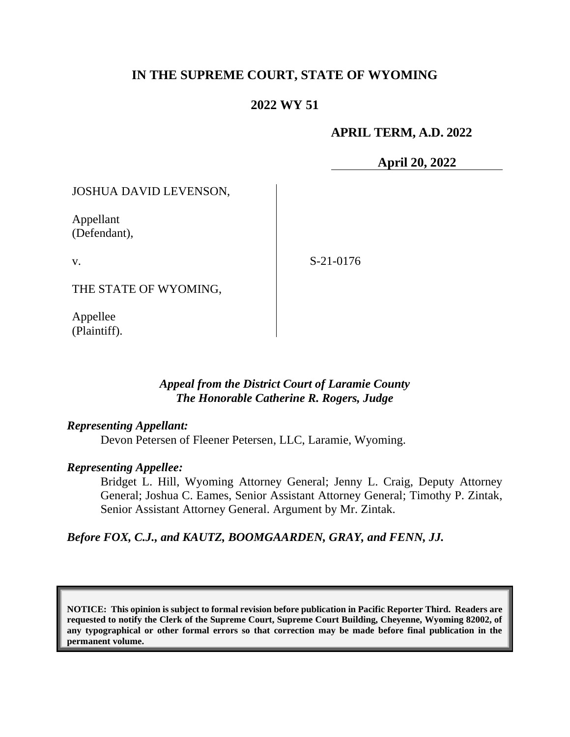## **IN THE SUPREME COURT, STATE OF WYOMING**

## **2022 WY 51**

#### **APRIL TERM, A.D. 2022**

**April 20, 2022**

JOSHUA DAVID LEVENSON,

Appellant (Defendant),

v.

S-21-0176

THE STATE OF WYOMING,

Appellee (Plaintiff).

#### *Appeal from the District Court of Laramie County The Honorable Catherine R. Rogers, Judge*

#### *Representing Appellant:*

Devon Petersen of Fleener Petersen, LLC, Laramie, Wyoming.

#### *Representing Appellee:*

Bridget L. Hill, Wyoming Attorney General; Jenny L. Craig, Deputy Attorney General; Joshua C. Eames, Senior Assistant Attorney General; Timothy P. Zintak, Senior Assistant Attorney General. Argument by Mr. Zintak.

*Before FOX, C.J., and KAUTZ, BOOMGAARDEN, GRAY, and FENN, JJ.*

**NOTICE: This opinion is subject to formal revision before publication in Pacific Reporter Third. Readers are requested to notify the Clerk of the Supreme Court, Supreme Court Building, Cheyenne, Wyoming 82002, of any typographical or other formal errors so that correction may be made before final publication in the permanent volume.**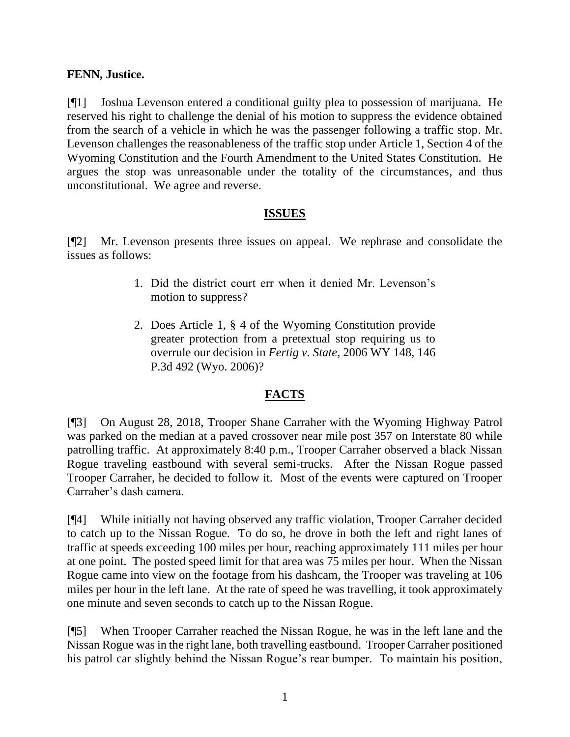## **FENN, Justice.**

[¶1] Joshua Levenson entered a conditional guilty plea to possession of marijuana. He reserved his right to challenge the denial of his motion to suppress the evidence obtained from the search of a vehicle in which he was the passenger following a traffic stop. Mr. Levenson challenges the reasonableness of the traffic stop under Article 1, Section 4 of the Wyoming Constitution and the Fourth Amendment to the United States Constitution. He argues the stop was unreasonable under the totality of the circumstances, and thus unconstitutional. We agree and reverse.

## **ISSUES**

[¶2] Mr. Levenson presents three issues on appeal. We rephrase and consolidate the issues as follows:

- 1. Did the district court err when it denied Mr. Levenson's motion to suppress?
- 2. Does Article 1, § 4 of the Wyoming Constitution provide greater protection from a pretextual stop requiring us to overrule our decision in *Fertig v. State*, 2006 WY 148, 146 P.3d 492 (Wyo. 2006)?

## **FACTS**

[¶3] On August 28, 2018, Trooper Shane Carraher with the Wyoming Highway Patrol was parked on the median at a paved crossover near mile post 357 on Interstate 80 while patrolling traffic. At approximately 8:40 p.m., Trooper Carraher observed a black Nissan Rogue traveling eastbound with several semi-trucks. After the Nissan Rogue passed Trooper Carraher, he decided to follow it. Most of the events were captured on Trooper Carraher's dash camera.

[¶4] While initially not having observed any traffic violation, Trooper Carraher decided to catch up to the Nissan Rogue. To do so, he drove in both the left and right lanes of traffic at speeds exceeding 100 miles per hour, reaching approximately 111 miles per hour at one point. The posted speed limit for that area was 75 miles per hour. When the Nissan Rogue came into view on the footage from his dashcam, the Trooper was traveling at 106 miles per hour in the left lane. At the rate of speed he was travelling, it took approximately one minute and seven seconds to catch up to the Nissan Rogue.

[¶5] When Trooper Carraher reached the Nissan Rogue, he was in the left lane and the Nissan Rogue was in the right lane, both travelling eastbound. Trooper Carraher positioned his patrol car slightly behind the Nissan Rogue's rear bumper. To maintain his position,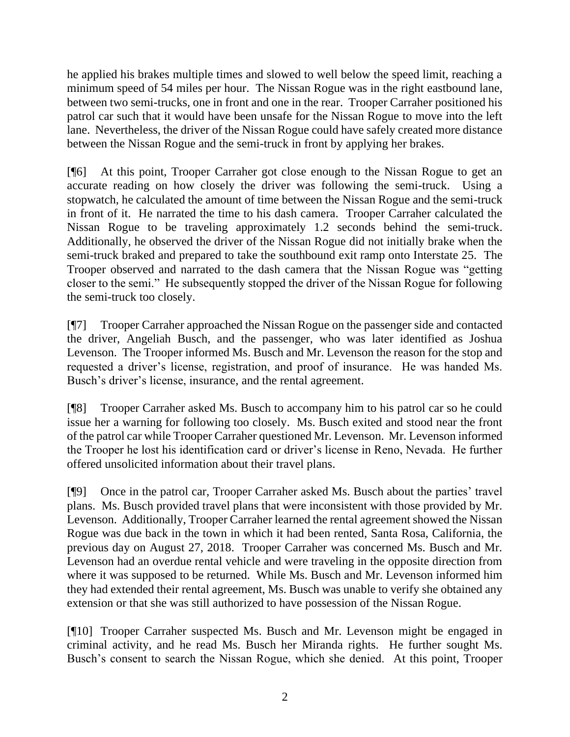he applied his brakes multiple times and slowed to well below the speed limit, reaching a minimum speed of 54 miles per hour. The Nissan Rogue was in the right eastbound lane, between two semi-trucks, one in front and one in the rear. Trooper Carraher positioned his patrol car such that it would have been unsafe for the Nissan Rogue to move into the left lane. Nevertheless, the driver of the Nissan Rogue could have safely created more distance between the Nissan Rogue and the semi-truck in front by applying her brakes.

[¶6] At this point, Trooper Carraher got close enough to the Nissan Rogue to get an accurate reading on how closely the driver was following the semi-truck. Using a stopwatch, he calculated the amount of time between the Nissan Rogue and the semi-truck in front of it. He narrated the time to his dash camera. Trooper Carraher calculated the Nissan Rogue to be traveling approximately 1.2 seconds behind the semi-truck. Additionally, he observed the driver of the Nissan Rogue did not initially brake when the semi-truck braked and prepared to take the southbound exit ramp onto Interstate 25. The Trooper observed and narrated to the dash camera that the Nissan Rogue was "getting closer to the semi." He subsequently stopped the driver of the Nissan Rogue for following the semi-truck too closely.

[¶7] Trooper Carraher approached the Nissan Rogue on the passenger side and contacted the driver, Angeliah Busch, and the passenger, who was later identified as Joshua Levenson. The Trooper informed Ms. Busch and Mr. Levenson the reason for the stop and requested a driver's license, registration, and proof of insurance. He was handed Ms. Busch's driver's license, insurance, and the rental agreement.

[¶8] Trooper Carraher asked Ms. Busch to accompany him to his patrol car so he could issue her a warning for following too closely. Ms. Busch exited and stood near the front of the patrol car while Trooper Carraher questioned Mr. Levenson. Mr. Levenson informed the Trooper he lost his identification card or driver's license in Reno, Nevada. He further offered unsolicited information about their travel plans.

[¶9] Once in the patrol car, Trooper Carraher asked Ms. Busch about the parties' travel plans. Ms. Busch provided travel plans that were inconsistent with those provided by Mr. Levenson. Additionally, Trooper Carraher learned the rental agreement showed the Nissan Rogue was due back in the town in which it had been rented, Santa Rosa, California, the previous day on August 27, 2018. Trooper Carraher was concerned Ms. Busch and Mr. Levenson had an overdue rental vehicle and were traveling in the opposite direction from where it was supposed to be returned. While Ms. Busch and Mr. Levenson informed him they had extended their rental agreement, Ms. Busch was unable to verify she obtained any extension or that she was still authorized to have possession of the Nissan Rogue.

[¶10] Trooper Carraher suspected Ms. Busch and Mr. Levenson might be engaged in criminal activity, and he read Ms. Busch her Miranda rights. He further sought Ms. Busch's consent to search the Nissan Rogue, which she denied. At this point, Trooper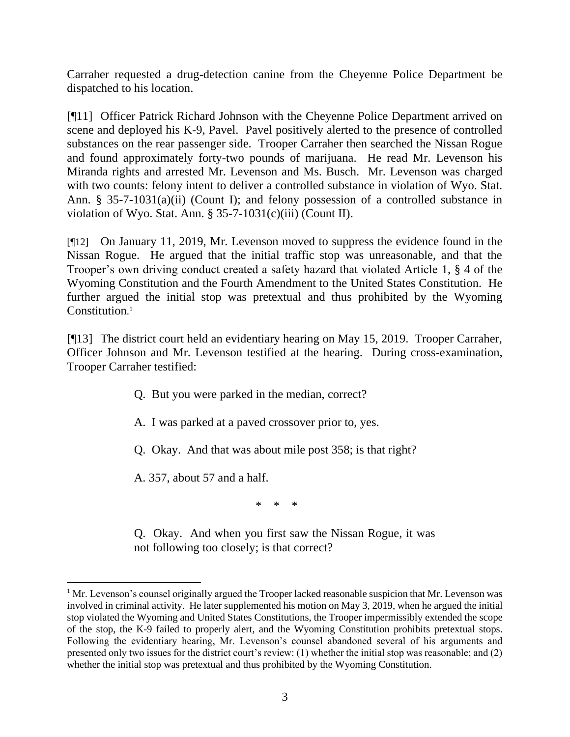Carraher requested a drug-detection canine from the Cheyenne Police Department be dispatched to his location.

[¶11] Officer Patrick Richard Johnson with the Cheyenne Police Department arrived on scene and deployed his K-9, Pavel. Pavel positively alerted to the presence of controlled substances on the rear passenger side. Trooper Carraher then searched the Nissan Rogue and found approximately forty-two pounds of marijuana. He read Mr. Levenson his Miranda rights and arrested Mr. Levenson and Ms. Busch. Mr. Levenson was charged with two counts: felony intent to deliver a controlled substance in violation of Wyo. Stat. Ann. § 35-7-1031(a)(ii) (Count I); and felony possession of a controlled substance in violation of Wyo. Stat. Ann. § 35-7-1031 $(c)(iii)$  (Count II).

[¶12] On January 11, 2019, Mr. Levenson moved to suppress the evidence found in the Nissan Rogue. He argued that the initial traffic stop was unreasonable, and that the Trooper's own driving conduct created a safety hazard that violated Article 1, § 4 of the Wyoming Constitution and the Fourth Amendment to the United States Constitution. He further argued the initial stop was pretextual and thus prohibited by the Wyoming Constitution. 1

[¶13] The district court held an evidentiary hearing on May 15, 2019. Trooper Carraher, Officer Johnson and Mr. Levenson testified at the hearing. During cross-examination, Trooper Carraher testified:

- Q. But you were parked in the median, correct?
- A. I was parked at a paved crossover prior to, yes.
- Q. Okay. And that was about mile post 358; is that right?

A. 357, about 57 and a half.

\* \* \*

Q. Okay. And when you first saw the Nissan Rogue, it was not following too closely; is that correct?

<sup>&</sup>lt;sup>1</sup> Mr. Levenson's counsel originally argued the Trooper lacked reasonable suspicion that Mr. Levenson was involved in criminal activity. He later supplemented his motion on May 3, 2019, when he argued the initial stop violated the Wyoming and United States Constitutions, the Trooper impermissibly extended the scope of the stop, the K-9 failed to properly alert, and the Wyoming Constitution prohibits pretextual stops. Following the evidentiary hearing, Mr. Levenson's counsel abandoned several of his arguments and presented only two issues for the district court's review: (1) whether the initial stop was reasonable; and (2) whether the initial stop was pretextual and thus prohibited by the Wyoming Constitution.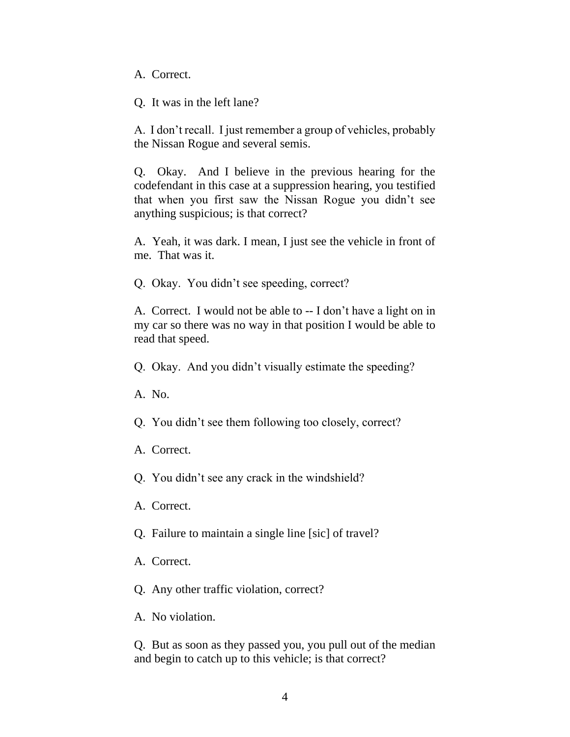A. Correct.

Q. It was in the left lane?

A. I don't recall. I just remember a group of vehicles, probably the Nissan Rogue and several semis.

Q. Okay. And I believe in the previous hearing for the codefendant in this case at a suppression hearing, you testified that when you first saw the Nissan Rogue you didn't see anything suspicious; is that correct?

A. Yeah, it was dark. I mean, I just see the vehicle in front of me. That was it.

Q. Okay. You didn't see speeding, correct?

A. Correct. I would not be able to -- I don't have a light on in my car so there was no way in that position I would be able to read that speed.

Q. Okay. And you didn't visually estimate the speeding?

A. No.

Q. You didn't see them following too closely, correct?

A. Correct.

Q. You didn't see any crack in the windshield?

A. Correct.

Q. Failure to maintain a single line [sic] of travel?

A. Correct.

Q. Any other traffic violation, correct?

A. No violation.

Q. But as soon as they passed you, you pull out of the median and begin to catch up to this vehicle; is that correct?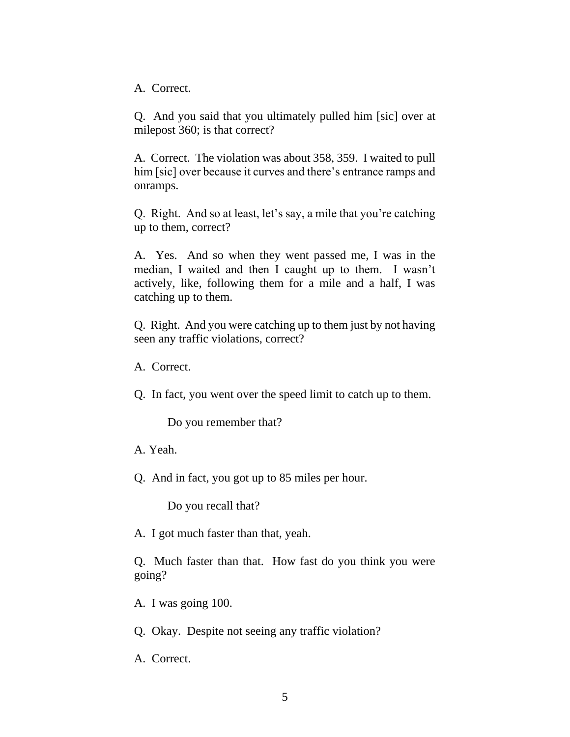A. Correct.

Q. And you said that you ultimately pulled him [sic] over at milepost 360; is that correct?

A. Correct. The violation was about 358, 359. I waited to pull him [sic] over because it curves and there's entrance ramps and onramps.

Q. Right. And so at least, let's say, a mile that you're catching up to them, correct?

A. Yes. And so when they went passed me, I was in the median, I waited and then I caught up to them. I wasn't actively, like, following them for a mile and a half, I was catching up to them.

Q. Right. And you were catching up to them just by not having seen any traffic violations, correct?

A. Correct.

Q. In fact, you went over the speed limit to catch up to them.

Do you remember that?

A. Yeah.

Q. And in fact, you got up to 85 miles per hour.

Do you recall that?

A. I got much faster than that, yeah.

Q. Much faster than that. How fast do you think you were going?

A. I was going 100.

Q. Okay. Despite not seeing any traffic violation?

A. Correct.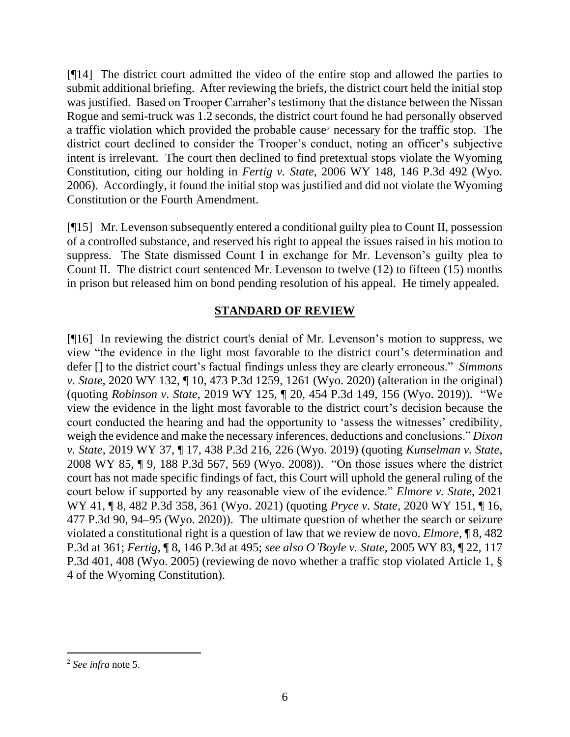[¶14] The district court admitted the video of the entire stop and allowed the parties to submit additional briefing. After reviewing the briefs, the district court held the initial stop was justified. Based on Trooper Carraher's testimony that the distance between the Nissan Rogue and semi-truck was 1.2 seconds, the district court found he had personally observed a traffic violation which provided the probable cause<sup>2</sup> necessary for the traffic stop. The district court declined to consider the Trooper's conduct, noting an officer's subjective intent is irrelevant. The court then declined to find pretextual stops violate the Wyoming Constitution, citing our holding in *Fertig v. State*, 2006 WY 148, 146 P.3d 492 (Wyo. 2006). Accordingly, it found the initial stop was justified and did not violate the Wyoming Constitution or the Fourth Amendment.

[¶15] Mr. Levenson subsequently entered a conditional guilty plea to Count II, possession of a controlled substance, and reserved his right to appeal the issues raised in his motion to suppress. The State dismissed Count I in exchange for Mr. Levenson's guilty plea to Count II. The district court sentenced Mr. Levenson to twelve (12) to fifteen (15) months in prison but released him on bond pending resolution of his appeal. He timely appealed.

## **STANDARD OF REVIEW**

[¶16] In reviewing the district court's denial of Mr. Levenson's motion to suppress, we view "the evidence in the light most favorable to the district court's determination and defer [] to the district court's factual findings unless they are clearly erroneous." *Simmons v. State*, 2020 WY 132, ¶ 10, 473 P.3d 1259, 1261 (Wyo. 2020) (alteration in the original) (quoting *Robinson v. State*, 2019 WY 125, ¶ 20, 454 P.3d 149, 156 (Wyo. 2019)). "We view the evidence in the light most favorable to the district court's decision because the court conducted the hearing and had the opportunity to 'assess the witnesses' credibility, weigh the evidence and make the necessary inferences, deductions and conclusions." *Dixon v. State*, 2019 WY 37, ¶ 17, 438 P.3d 216, 226 (Wyo. 2019) (quoting *Kunselman v. State*, 2008 WY 85, ¶ 9, 188 P.3d 567, 569 (Wyo. 2008)). "On those issues where the district court has not made specific findings of fact, this Court will uphold the general ruling of the court below if supported by any reasonable view of the evidence." *Elmore v. State*, 2021 WY 41, ¶ 8, 482 P.3d 358, 361 (Wyo. 2021) (quoting *Pryce v. State*, 2020 WY 151, ¶ 16, 477 P.3d 90, 94–95 (Wyo. 2020)). The ultimate question of whether the search or seizure violated a constitutional right is a question of law that we review de novo. *Elmore*, ¶ 8, 482 P.3d at 361; *Fertig*, ¶ 8, 146 P.3d at 495; *see also O'Boyle v. State*, 2005 WY 83, ¶ 22, 117 P.3d 401, 408 (Wyo. 2005) (reviewing de novo whether a traffic stop violated Article 1, § 4 of the Wyoming Constitution).

<sup>2</sup> *See infra* note 5.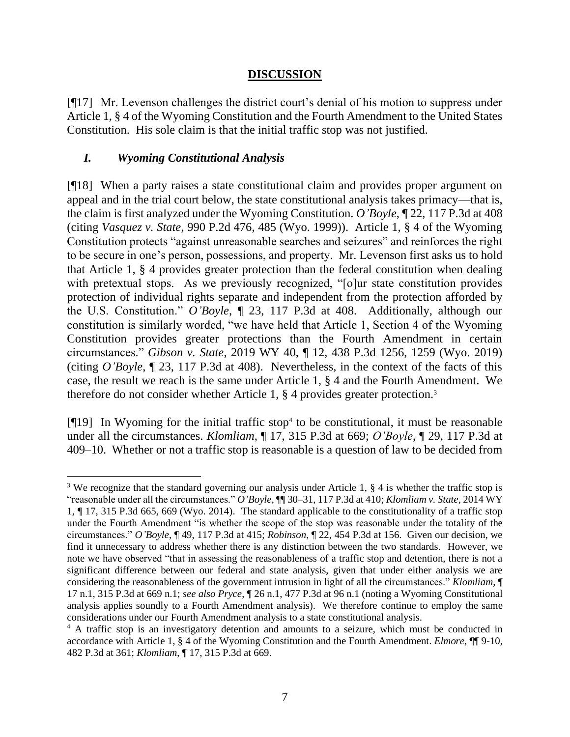#### **DISCUSSION**

[¶17] Mr. Levenson challenges the district court's denial of his motion to suppress under Article 1, § 4 of the Wyoming Constitution and the Fourth Amendment to the United States Constitution. His sole claim is that the initial traffic stop was not justified.

#### *I. Wyoming Constitutional Analysis*

[¶18] When a party raises a state constitutional claim and provides proper argument on appeal and in the trial court below, the state constitutional analysis takes primacy—that is, the claim is first analyzed under the Wyoming Constitution. *O'Boyle*, ¶ 22, 117 P.3d at 408 (citing *Vasquez v. State*, 990 P.2d 476, 485 (Wyo. 1999)). Article 1, § 4 of the Wyoming Constitution protects "against unreasonable searches and seizures" and reinforces the right to be secure in one's person, possessions, and property. Mr. Levenson first asks us to hold that Article 1, § 4 provides greater protection than the federal constitution when dealing with pretextual stops. As we previously recognized, "[o]ur state constitution provides protection of individual rights separate and independent from the protection afforded by the U.S. Constitution." *O'Boyle*, ¶ 23, 117 P.3d at 408. Additionally, although our constitution is similarly worded, "we have held that Article 1, Section 4 of the Wyoming Constitution provides greater protections than the Fourth Amendment in certain circumstances." *Gibson v. State*, 2019 WY 40, ¶ 12, 438 P.3d 1256, 1259 (Wyo. 2019) (citing *O'Boyle*, ¶ 23, 117 P.3d at 408). Nevertheless, in the context of the facts of this case, the result we reach is the same under Article 1, § 4 and the Fourth Amendment. We therefore do not consider whether Article 1, § 4 provides greater protection.<sup>3</sup>

[¶19] In Wyoming for the initial traffic stop<sup>4</sup> to be constitutional, it must be reasonable under all the circumstances. *Klomliam*, ¶ 17, 315 P.3d at 669; *O'Boyle*, ¶ 29, 117 P.3d at 409–10. Whether or not a traffic stop is reasonable is a question of law to be decided from

<sup>&</sup>lt;sup>3</sup> We recognize that the standard governing our analysis under Article 1, § 4 is whether the traffic stop is "reasonable under all the circumstances." *O'Boyle*, ¶¶ 30–31, 117 P.3d at 410; *Klomliam v. State*, 2014 WY 1, ¶ 17, 315 P.3d 665, 669 (Wyo. 2014). The standard applicable to the constitutionality of a traffic stop under the Fourth Amendment "is whether the scope of the stop was reasonable under the totality of the circumstances." *O'Boyle*, ¶ 49, 117 P.3d at 415; *Robinson*, ¶ 22, 454 P.3d at 156. Given our decision, we find it unnecessary to address whether there is any distinction between the two standards. However, we note we have observed "that in assessing the reasonableness of a traffic stop and detention, there is not a significant difference between our federal and state analysis, given that under either analysis we are considering the reasonableness of the government intrusion in light of all the circumstances." *Klomliam*, ¶ 17 n.1, 315 P.3d at 669 n.1; *see also Pryce*, ¶ 26 n.1, 477 P.3d at 96 n.1 (noting a Wyoming Constitutional analysis applies soundly to a Fourth Amendment analysis). We therefore continue to employ the same considerations under our Fourth Amendment analysis to a state constitutional analysis.

<sup>&</sup>lt;sup>4</sup> A traffic stop is an investigatory detention and amounts to a seizure, which must be conducted in accordance with Article 1, § 4 of the Wyoming Constitution and the Fourth Amendment. *Elmore*, ¶¶ 9-10, 482 P.3d at 361; *Klomliam*, ¶ 17, 315 P.3d at 669.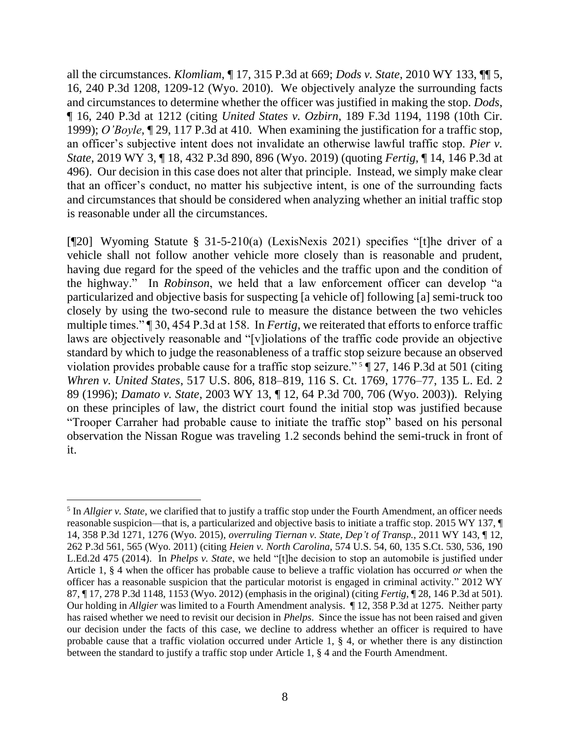all the circumstances. *Klomliam*, ¶ 17, 315 P.3d at 669; *Dods v. State*, 2010 WY 133, ¶¶ 5, 16, 240 P.3d 1208, 1209-12 (Wyo. 2010). We objectively analyze the surrounding facts and circumstances to determine whether the officer was justified in making the stop. *Dods*, ¶ 16, 240 P.3d at 1212 (citing *United States v. Ozbirn*, 189 F.3d 1194, 1198 (10th Cir. 1999); *O'Boyle*, ¶ 29, 117 P.3d at 410. When examining the justification for a traffic stop, an officer's subjective intent does not invalidate an otherwise lawful traffic stop. *Pier v. State*, 2019 WY 3, ¶ 18, 432 P.3d 890, 896 (Wyo. 2019) (quoting *Fertig*, ¶ 14, 146 P.3d at 496). Our decision in this case does not alter that principle. Instead, we simply make clear that an officer's conduct, no matter his subjective intent, is one of the surrounding facts and circumstances that should be considered when analyzing whether an initial traffic stop is reasonable under all the circumstances.

[¶20] Wyoming Statute § 31-5-210(a) (LexisNexis 2021) specifies "[t]he driver of a vehicle shall not follow another vehicle more closely than is reasonable and prudent, having due regard for the speed of the vehicles and the traffic upon and the condition of the highway." In *Robinson*, we held that a law enforcement officer can develop "a particularized and objective basis for suspecting [a vehicle of] following [a] semi-truck too closely by using the two-second rule to measure the distance between the two vehicles multiple times." ¶ 30, 454 P.3d at 158. In *Fertig*, we reiterated that efforts to enforce traffic laws are objectively reasonable and "[v]iolations of the traffic code provide an objective standard by which to judge the reasonableness of a traffic stop seizure because an observed violation provides probable cause for a traffic stop seizure." <sup>5</sup> ¶ 27, 146 P.3d at 501 (citing *Whren v. United States*, 517 U.S. 806, 818–819, 116 S. Ct. 1769, 1776–77, 135 L. Ed. 2 89 (1996); *Damato v. State*, 2003 WY 13, ¶ 12, 64 P.3d 700, 706 (Wyo. 2003)). Relying on these principles of law, the district court found the initial stop was justified because "Trooper Carraher had probable cause to initiate the traffic stop" based on his personal observation the Nissan Rogue was traveling 1.2 seconds behind the semi-truck in front of it.

<sup>&</sup>lt;sup>5</sup> In *Allgier v. State*, we clarified that to justify a traffic stop under the Fourth Amendment, an officer needs reasonable suspicion—that is, a particularized and objective basis to initiate a traffic stop. 2015 WY 137, ¶ 14, 358 P.3d 1271, 1276 (Wyo. 2015), *overruling Tiernan v. State, Dep't of Transp.*, 2011 WY 143, ¶ 12, 262 P.3d 561, 565 (Wyo. 2011) (citing *Heien v. North Carolina*, 574 U.S. 54, 60, 135 S.Ct. 530, 536, 190 L.Ed.2d 475 (2014). In *Phelps v. State*, we held "[t]he decision to stop an automobile is justified under Article 1, § 4 when the officer has probable cause to believe a traffic violation has occurred *or* when the officer has a reasonable suspicion that the particular motorist is engaged in criminal activity." 2012 WY 87, ¶ 17, 278 P.3d 1148, 1153 (Wyo. 2012) (emphasis in the original) (citing *Fertig*, ¶ 28, 146 P.3d at 501). Our holding in *Allgier* was limited to a Fourth Amendment analysis. ¶ 12, 358 P.3d at 1275. Neither party has raised whether we need to revisit our decision in *Phelps*. Since the issue has not been raised and given our decision under the facts of this case, we decline to address whether an officer is required to have probable cause that a traffic violation occurred under Article 1, § 4, or whether there is any distinction between the standard to justify a traffic stop under Article 1, § 4 and the Fourth Amendment.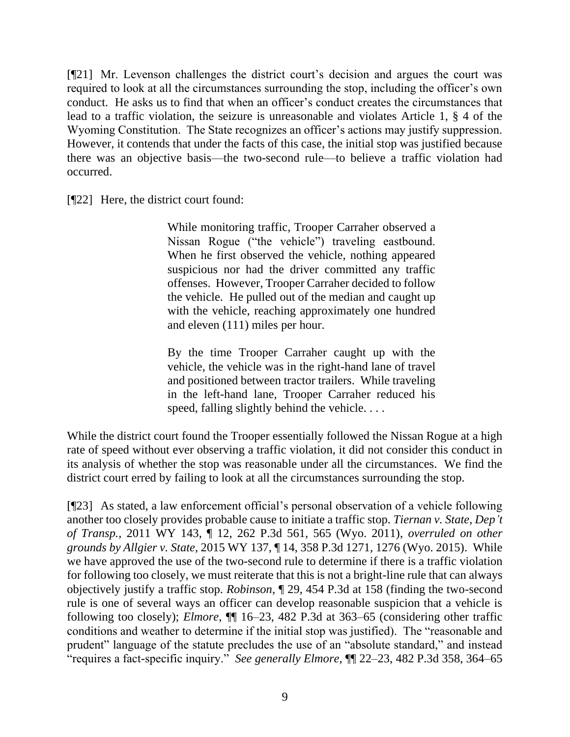[¶21] Mr. Levenson challenges the district court's decision and argues the court was required to look at all the circumstances surrounding the stop, including the officer's own conduct. He asks us to find that when an officer's conduct creates the circumstances that lead to a traffic violation, the seizure is unreasonable and violates Article 1, § 4 of the Wyoming Constitution. The State recognizes an officer's actions may justify suppression. However, it contends that under the facts of this case, the initial stop was justified because there was an objective basis—the two-second rule—to believe a traffic violation had occurred.

[¶22] Here, the district court found:

While monitoring traffic, Trooper Carraher observed a Nissan Rogue ("the vehicle") traveling eastbound. When he first observed the vehicle, nothing appeared suspicious nor had the driver committed any traffic offenses. However, Trooper Carraher decided to follow the vehicle. He pulled out of the median and caught up with the vehicle, reaching approximately one hundred and eleven (111) miles per hour.

By the time Trooper Carraher caught up with the vehicle, the vehicle was in the right-hand lane of travel and positioned between tractor trailers. While traveling in the left-hand lane, Trooper Carraher reduced his speed, falling slightly behind the vehicle. . . .

While the district court found the Trooper essentially followed the Nissan Rogue at a high rate of speed without ever observing a traffic violation, it did not consider this conduct in its analysis of whether the stop was reasonable under all the circumstances. We find the district court erred by failing to look at all the circumstances surrounding the stop.

[¶23] As stated, a law enforcement official's personal observation of a vehicle following another too closely provides probable cause to initiate a traffic stop. *Tiernan v. State, Dep't of Transp.*, 2011 WY 143, ¶ 12, 262 P.3d 561, 565 (Wyo. 2011), *overruled on other grounds by Allgier v. State*, 2015 WY 137, ¶ 14, 358 P.3d 1271, 1276 (Wyo. 2015). While we have approved the use of the two-second rule to determine if there is a traffic violation for following too closely, we must reiterate that this is not a bright-line rule that can always objectively justify a traffic stop. *Robinson*, ¶ 29, 454 P.3d at 158 (finding the two-second rule is one of several ways an officer can develop reasonable suspicion that a vehicle is following too closely); *Elmore*, ¶¶ 16–23, 482 P.3d at 363–65 (considering other traffic conditions and weather to determine if the initial stop was justified). The "reasonable and prudent" language of the statute precludes the use of an "absolute standard," and instead "requires a fact-specific inquiry." *See generally Elmore*, ¶¶ 22–23, 482 P.3d 358, 364–65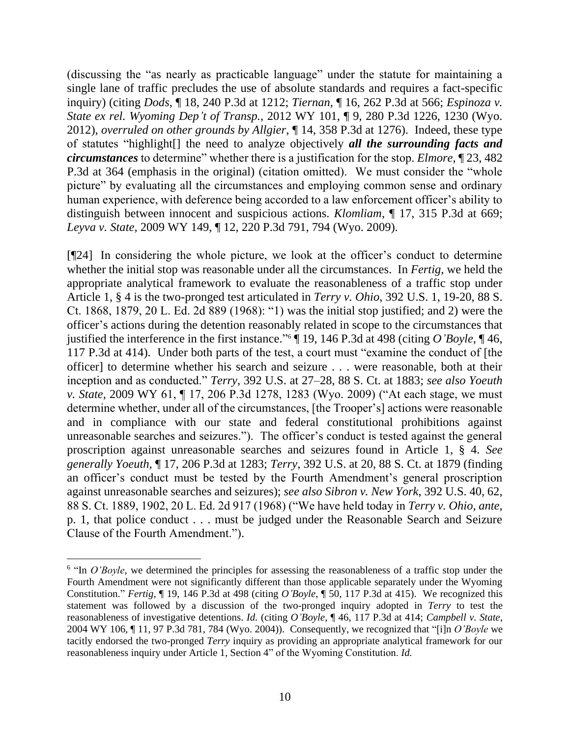(discussing the "as nearly as practicable language" under the statute for maintaining a single lane of traffic precludes the use of absolute standards and requires a fact-specific inquiry) (citing *Dods*, ¶ 18, 240 P.3d at 1212; *Tiernan*, ¶ 16, 262 P.3d at 566; *Espinoza v. State ex rel. Wyoming Dep't of Transp.*, 2012 WY 101, ¶ 9, 280 P.3d 1226, 1230 (Wyo. 2012), *overruled on other grounds by Allgier*, ¶ 14, 358 P.3d at 1276). Indeed, these type of statutes "highlight[] the need to analyze objectively *all the surrounding facts and circumstances* to determine" whether there is a justification for the stop. *Elmore*, ¶ 23, 482 P.3d at 364 (emphasis in the original) (citation omitted). We must consider the "whole picture" by evaluating all the circumstances and employing common sense and ordinary human experience, with deference being accorded to a law enforcement officer's ability to distinguish between innocent and suspicious actions. *Klomliam*, ¶ 17, 315 P.3d at 669; *Leyva v. State*, 2009 WY 149, ¶ 12, 220 P.3d 791, 794 (Wyo. 2009).

[¶24] In considering the whole picture, we look at the officer's conduct to determine whether the initial stop was reasonable under all the circumstances. In *Fertig*, we held the appropriate analytical framework to evaluate the reasonableness of a traffic stop under Article 1, § 4 is the two-pronged test articulated in *Terry v. Ohio*, 392 U.S. 1, 19-20, 88 S. Ct. 1868, 1879, 20 L. Ed. 2d 889 (1968): "1) was the initial stop justified; and 2) were the officer's actions during the detention reasonably related in scope to the circumstances that justified the interference in the first instance." <sup>6</sup> ¶ 19, 146 P.3d at 498 (citing *O'Boyle*, ¶ 46, 117 P.3d at 414). Under both parts of the test, a court must "examine the conduct of [the officer] to determine whether his search and seizure . . . were reasonable, both at their inception and as conducted." *Terry*, 392 U.S. at 27–28, 88 S. Ct. at 1883; *see also Yoeuth v. State*, 2009 WY 61, ¶ 17, 206 P.3d 1278, 1283 (Wyo. 2009) ("At each stage, we must determine whether, under all of the circumstances, [the Trooper's] actions were reasonable and in compliance with our state and federal constitutional prohibitions against unreasonable searches and seizures."). The officer's conduct is tested against the general proscription against unreasonable searches and seizures found in Article 1, § 4. *See generally Yoeuth*, ¶ 17, 206 P.3d at 1283; *Terry*, 392 U.S. at 20, 88 S. Ct. at 1879 (finding an officer's conduct must be tested by the Fourth Amendment's general proscription against unreasonable searches and seizures); *see also Sibron v. New York*, 392 U.S. 40, 62, 88 S. Ct. 1889, 1902, 20 L. Ed. 2d 917 (1968) ("We have held today in *Terry v. Ohio*, *ante*, p. 1, that police conduct . . . must be judged under the Reasonable Search and Seizure Clause of the Fourth Amendment.").

<sup>&</sup>lt;sup>6</sup> "In *O'Boyle*, we determined the principles for assessing the reasonableness of a traffic stop under the Fourth Amendment were not significantly different than those applicable separately under the Wyoming Constitution." *Fertig*, ¶ 19, 146 P.3d at 498 (citing *O'Boyle*, ¶ 50, 117 P.3d at 415). We recognized this statement was followed by a discussion of the two-pronged inquiry adopted in *Terry* to test the reasonableness of investigative detentions. *Id.* (citing *O'Boyle*, ¶ 46, 117 P.3d at 414; *Campbell v. State*, 2004 WY 106, ¶ 11, 97 P.3d 781, 784 (Wyo. 2004)). Consequently, we recognized that "[i]n *O'Boyle* we tacitly endorsed the two-pronged *Terry* inquiry as providing an appropriate analytical framework for our reasonableness inquiry under Article 1, Section 4" of the Wyoming Constitution. *Id.*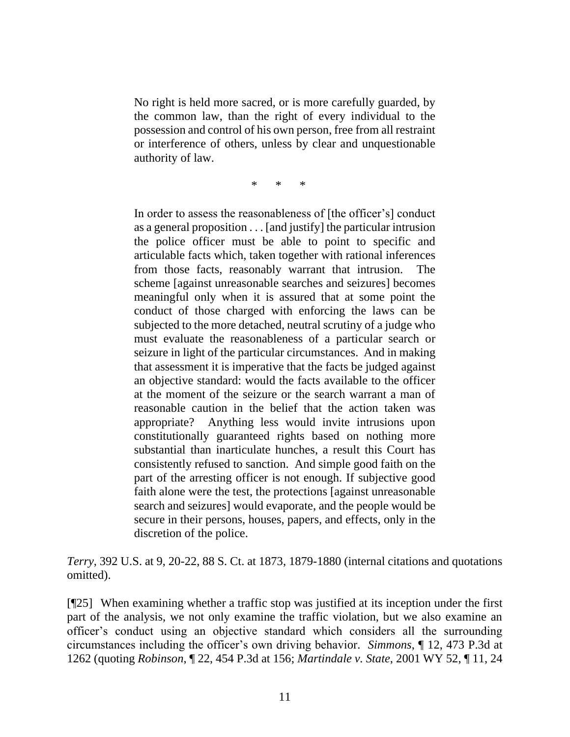No right is held more sacred, or is more carefully guarded, by the common law, than the right of every individual to the possession and control of his own person, free from all restraint or interference of others, unless by clear and unquestionable authority of law.

\* \* \*

In order to assess the reasonableness of [the officer's] conduct as a general proposition . . . [and justify] the particular intrusion the police officer must be able to point to specific and articulable facts which, taken together with rational inferences from those facts, reasonably warrant that intrusion. The scheme [against unreasonable searches and seizures] becomes meaningful only when it is assured that at some point the conduct of those charged with enforcing the laws can be subjected to the more detached, neutral scrutiny of a judge who must evaluate the reasonableness of a particular search or seizure in light of the particular circumstances. And in making that assessment it is imperative that the facts be judged against an objective standard: would the facts available to the officer at the moment of the seizure or the search warrant a man of reasonable caution in the belief that the action taken was appropriate? Anything less would invite intrusions upon constitutionally guaranteed rights based on nothing more substantial than inarticulate hunches, a result this Court has consistently refused to sanction. And simple good faith on the part of the arresting officer is not enough. If subjective good faith alone were the test, the protections [against unreasonable search and seizures] would evaporate, and the people would be secure in their persons, houses, papers, and effects, only in the discretion of the police.

*Terry*, 392 U.S. at 9, 20-22, 88 S. Ct. at 1873, 1879-1880 (internal citations and quotations omitted).

[¶25] When examining whether a traffic stop was justified at its inception under the first part of the analysis, we not only examine the traffic violation, but we also examine an officer's conduct using an objective standard which considers all the surrounding circumstances including the officer's own driving behavior. *Simmons*, ¶ 12, 473 P.3d at 1262 (quoting *Robinson*, ¶ 22, 454 P.3d at 156; *Martindale v. State*, 2001 WY 52, ¶ 11, 24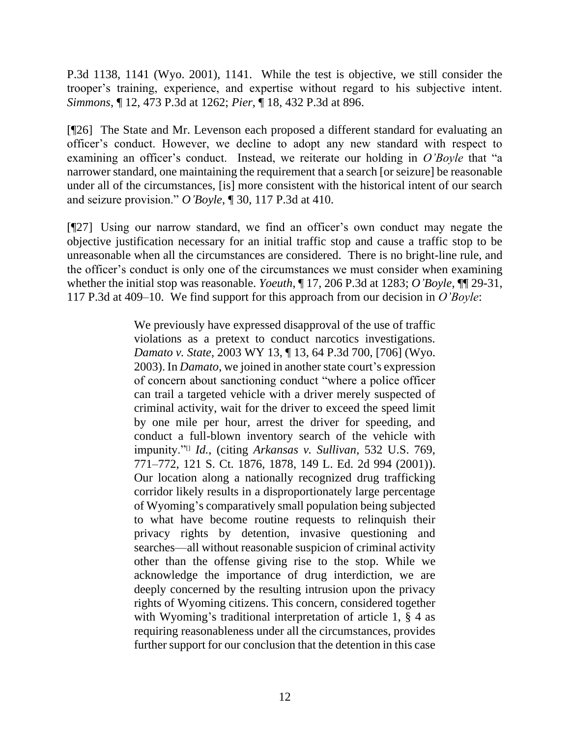P.3d 1138, 1141 (Wyo. 2001), 1141. While the test is objective, we still consider the trooper's training, experience, and expertise without regard to his subjective intent. *Simmons*, ¶ 12, 473 P.3d at 1262; *Pier*, ¶ 18, 432 P.3d at 896.

[¶26] The State and Mr. Levenson each proposed a different standard for evaluating an officer's conduct. However, we decline to adopt any new standard with respect to examining an officer's conduct. Instead, we reiterate our holding in *O'Boyle* that "a narrower standard, one maintaining the requirement that a search [or seizure] be reasonable under all of the circumstances, [is] more consistent with the historical intent of our search and seizure provision." *O'Boyle*, ¶ 30, 117 P.3d at 410.

[¶27] Using our narrow standard, we find an officer's own conduct may negate the objective justification necessary for an initial traffic stop and cause a traffic stop to be unreasonable when all the circumstances are considered. There is no bright-line rule, and the officer's conduct is only one of the circumstances we must consider when examining whether the initial stop was reasonable. *Yoeuth*, ¶ 17, 206 P.3d at 1283; *O'Boyle*, ¶¶ 29-31, 117 P.3d at 409–10. We find support for this approach from our decision in *O'Boyle*:

> We previously have expressed disapproval of the use of traffic violations as a pretext to conduct narcotics investigations. *Damato v. State*, 2003 WY 13, ¶ 13, 64 P.3d 700, [706] (Wyo. 2003). In *Damato*, we joined in another state court's expression of concern about sanctioning conduct "where a police officer can trail a targeted vehicle with a driver merely suspected of criminal activity, wait for the driver to exceed the speed limit by one mile per hour, arrest the driver for speeding, and conduct a full-blown inventory search of the vehicle with impunity."[] *Id.*, (citing *Arkansas v. Sullivan*, 532 U.S. 769, 771–772, 121 S. Ct. 1876, 1878, 149 L. Ed. 2d 994 (2001)). Our location along a nationally recognized drug trafficking corridor likely results in a disproportionately large percentage of Wyoming's comparatively small population being subjected to what have become routine requests to relinquish their privacy rights by detention, invasive questioning and searches—all without reasonable suspicion of criminal activity other than the offense giving rise to the stop. While we acknowledge the importance of drug interdiction, we are deeply concerned by the resulting intrusion upon the privacy rights of Wyoming citizens. This concern, considered together with Wyoming's traditional interpretation of article 1, § 4 as requiring reasonableness under all the circumstances, provides further support for our conclusion that the detention in this case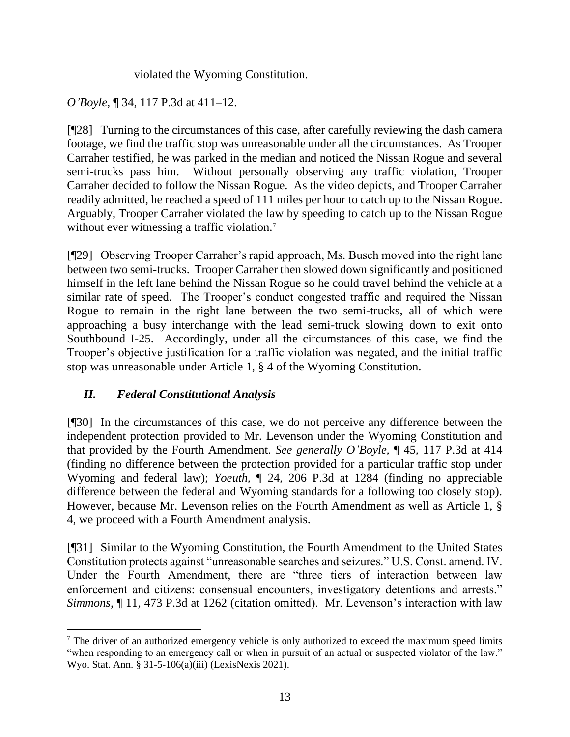violated the Wyoming Constitution.

*O'Boyle*, ¶ 34, 117 P.3d at 411–12.

[¶28] Turning to the circumstances of this case, after carefully reviewing the dash camera footage, we find the traffic stop was unreasonable under all the circumstances. As Trooper Carraher testified, he was parked in the median and noticed the Nissan Rogue and several semi-trucks pass him. Without personally observing any traffic violation, Trooper Carraher decided to follow the Nissan Rogue. As the video depicts, and Trooper Carraher readily admitted, he reached a speed of 111 miles per hour to catch up to the Nissan Rogue. Arguably, Trooper Carraher violated the law by speeding to catch up to the Nissan Rogue without ever witnessing a traffic violation.<sup>7</sup>

[¶29] Observing Trooper Carraher's rapid approach, Ms. Busch moved into the right lane between two semi-trucks. Trooper Carraher then slowed down significantly and positioned himself in the left lane behind the Nissan Rogue so he could travel behind the vehicle at a similar rate of speed. The Trooper's conduct congested traffic and required the Nissan Rogue to remain in the right lane between the two semi-trucks, all of which were approaching a busy interchange with the lead semi-truck slowing down to exit onto Southbound I-25. Accordingly, under all the circumstances of this case, we find the Trooper's objective justification for a traffic violation was negated, and the initial traffic stop was unreasonable under Article 1, § 4 of the Wyoming Constitution.

# *II. Federal Constitutional Analysis*

[¶30] In the circumstances of this case, we do not perceive any difference between the independent protection provided to Mr. Levenson under the Wyoming Constitution and that provided by the Fourth Amendment. *See generally O'Boyle*, ¶ 45, 117 P.3d at 414 (finding no difference between the protection provided for a particular traffic stop under Wyoming and federal law); *Yoeuth*, ¶ 24, 206 P.3d at 1284 (finding no appreciable difference between the federal and Wyoming standards for a following too closely stop). However, because Mr. Levenson relies on the Fourth Amendment as well as Article 1, § 4, we proceed with a Fourth Amendment analysis.

[¶31] Similar to the Wyoming Constitution, the Fourth Amendment to the United States Constitution protects against "unreasonable searches and seizures." U.S. Const. amend. IV. Under the Fourth Amendment, there are "three tiers of interaction between law enforcement and citizens: consensual encounters, investigatory detentions and arrests." *Simmons*, ¶ 11, 473 P.3d at 1262 (citation omitted). Mr. Levenson's interaction with law

<sup>&</sup>lt;sup>7</sup> The driver of an authorized emergency vehicle is only authorized to exceed the maximum speed limits "when responding to an emergency call or when in pursuit of an actual or suspected violator of the law." Wyo. Stat. Ann. § 31-5-106(a)(iii) (LexisNexis 2021).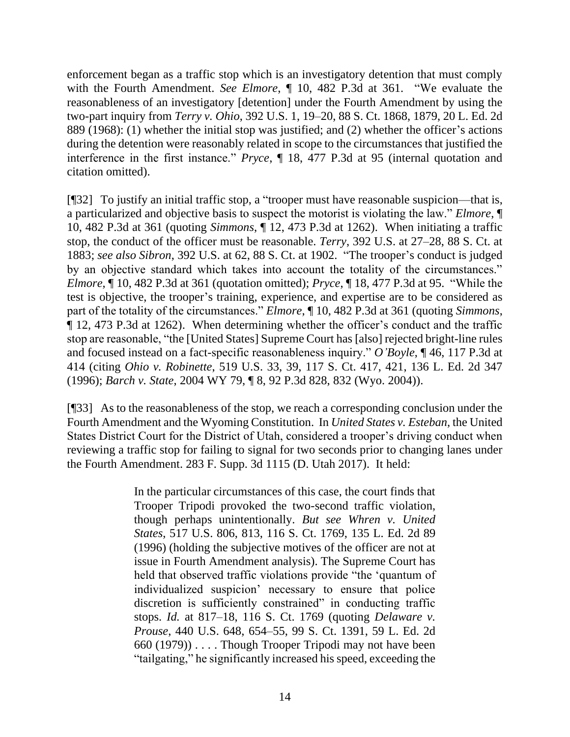enforcement began as a traffic stop which is an investigatory detention that must comply with the Fourth Amendment. *See Elmore*, ¶ 10, 482 P.3d at 361. "We evaluate the reasonableness of an investigatory [detention] under the Fourth Amendment by using the two-part inquiry from *Terry v. Ohio*, 392 U.S. 1, 19–20, 88 S. Ct. 1868, 1879, 20 L. Ed. 2d 889 (1968): (1) whether the initial stop was justified; and (2) whether the officer's actions during the detention were reasonably related in scope to the circumstances that justified the interference in the first instance." *Pryce*, ¶ 18, 477 P.3d at 95 (internal quotation and citation omitted).

[¶32] To justify an initial traffic stop, a "trooper must have reasonable suspicion—that is, a particularized and objective basis to suspect the motorist is violating the law." *Elmore*, ¶ 10, 482 P.3d at 361 (quoting *Simmons*, ¶ 12, 473 P.3d at 1262). When initiating a traffic stop, the conduct of the officer must be reasonable. *Terry*, 392 U.S. at 27–28, 88 S. Ct. at 1883; *see also Sibron*, 392 U.S. at 62, 88 S. Ct. at 1902. "The trooper's conduct is judged by an objective standard which takes into account the totality of the circumstances." *Elmore*, ¶ 10, 482 P.3d at 361 (quotation omitted); *Pryce*, ¶ 18, 477 P.3d at 95. "While the test is objective, the trooper's training, experience, and expertise are to be considered as part of the totality of the circumstances." *Elmore*, ¶ 10, 482 P.3d at 361 (quoting *Simmons*, ¶ 12, 473 P.3d at 1262). When determining whether the officer's conduct and the traffic stop are reasonable, "the [United States] Supreme Court has [also] rejected bright-line rules and focused instead on a fact-specific reasonableness inquiry." *O'Boyle*, ¶ 46, 117 P.3d at 414 (citing *Ohio v. Robinette*, 519 U.S. 33, 39, 117 S. Ct. 417, 421, 136 L. Ed. 2d 347 (1996); *Barch v. State*, 2004 WY 79, ¶ 8, 92 P.3d 828, 832 (Wyo. 2004)).

[¶33] As to the reasonableness of the stop, we reach a corresponding conclusion under the Fourth Amendment and the Wyoming Constitution. In *United States v. Esteban*, the United States District Court for the District of Utah, considered a trooper's driving conduct when reviewing a traffic stop for failing to signal for two seconds prior to changing lanes under the Fourth Amendment. 283 F. Supp. 3d 1115 (D. Utah 2017). It held:

> In the particular circumstances of this case, the court finds that Trooper Tripodi provoked the two-second traffic violation, though perhaps unintentionally. *But see Whren v. United States*, 517 U.S. 806, 813, 116 S. Ct. 1769, 135 L. Ed. 2d 89 (1996) (holding the subjective motives of the officer are not at issue in Fourth Amendment analysis). The Supreme Court has held that observed traffic violations provide "the 'quantum of individualized suspicion' necessary to ensure that police discretion is sufficiently constrained" in conducting traffic stops. *Id.* at 817–18, 116 S. Ct. 1769 (quoting *Delaware v. Prouse*, 440 U.S. 648, 654–55, 99 S. Ct. 1391, 59 L. Ed. 2d 660 (1979)) . . . . Though Trooper Tripodi may not have been "tailgating," he significantly increased his speed, exceeding the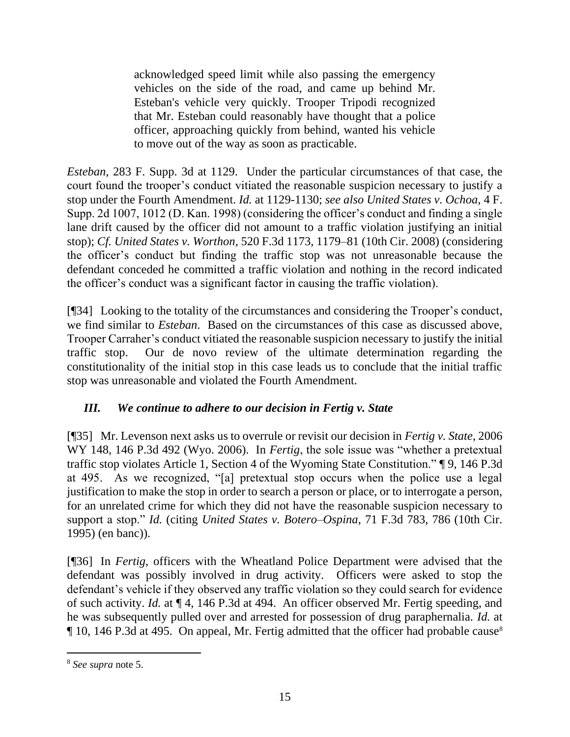acknowledged speed limit while also passing the emergency vehicles on the side of the road, and came up behind Mr. Esteban's vehicle very quickly. Trooper Tripodi recognized that Mr. Esteban could reasonably have thought that a police officer, approaching quickly from behind, wanted his vehicle to move out of the way as soon as practicable.

*Esteban*, 283 F. Supp. 3d at 1129. Under the particular circumstances of that case, the court found the trooper's conduct vitiated the reasonable suspicion necessary to justify a stop under the Fourth Amendment. *Id.* at 1129-1130; *see also United States v. Ochoa*, 4 F. Supp. 2d 1007, 1012 (D. Kan. 1998) (considering the officer's conduct and finding a single lane drift caused by the officer did not amount to a traffic violation justifying an initial stop); *Cf. United States v. Worthon*, 520 F.3d 1173, 1179–81 (10th Cir. 2008) (considering the officer's conduct but finding the traffic stop was not unreasonable because the defendant conceded he committed a traffic violation and nothing in the record indicated the officer's conduct was a significant factor in causing the traffic violation).

[¶34] Looking to the totality of the circumstances and considering the Trooper's conduct, we find similar to *Esteban*. Based on the circumstances of this case as discussed above, Trooper Carraher's conduct vitiated the reasonable suspicion necessary to justify the initial traffic stop. Our de novo review of the ultimate determination regarding the constitutionality of the initial stop in this case leads us to conclude that the initial traffic stop was unreasonable and violated the Fourth Amendment.

## *III. We continue to adhere to our decision in Fertig v. State*

[¶35] Mr. Levenson next asks us to overrule or revisit our decision in *Fertig v. State*, 2006 WY 148, 146 P.3d 492 (Wyo. 2006). In *Fertig*, the sole issue was "whether a pretextual traffic stop violates Article 1, Section 4 of the Wyoming State Constitution." ¶ 9, 146 P.3d at 495. As we recognized, "[a] pretextual stop occurs when the police use a legal justification to make the stop in order to search a person or place, or to interrogate a person, for an unrelated crime for which they did not have the reasonable suspicion necessary to support a stop." *Id.* (citing *United States v. Botero–Ospina*, 71 F.3d 783, 786 (10th Cir. 1995) (en banc)).

[¶36] In *Fertig*, officers with the Wheatland Police Department were advised that the defendant was possibly involved in drug activity. Officers were asked to stop the defendant's vehicle if they observed any traffic violation so they could search for evidence of such activity. *Id.* at ¶ 4, 146 P.3d at 494. An officer observed Mr. Fertig speeding, and he was subsequently pulled over and arrested for possession of drug paraphernalia. *Id.* at ¶ 10, 146 P.3d at 495. On appeal, Mr. Fertig admitted that the officer had probable cause<sup>8</sup>

<sup>8</sup> *See supra* note 5.